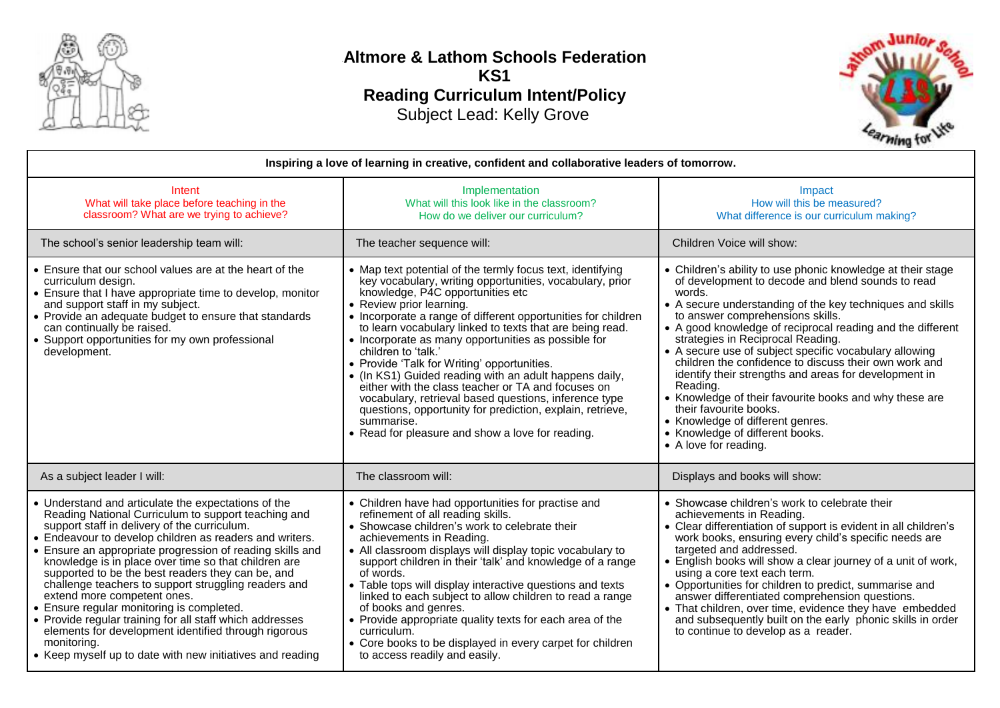

**Altmore & Lathom Schools Federation KS1 Reading Curriculum Intent/Policy**  Subject Lead: Kelly Grove



| Inspiring a love of learning in creative, confident and collaborative leaders of tomorrow.                                                                                                                                                                                                                                                                                                                                                                                                                                                                                                                                                                                                                                          |                                                                                                                                                                                                                                                                                                                                                                                                                                                                                                                                                                                                                                                                                                                                                          |                                                                                                                                                                                                                                                                                                                                                                                                                                                                                                                                                                                                                                                                                                            |  |
|-------------------------------------------------------------------------------------------------------------------------------------------------------------------------------------------------------------------------------------------------------------------------------------------------------------------------------------------------------------------------------------------------------------------------------------------------------------------------------------------------------------------------------------------------------------------------------------------------------------------------------------------------------------------------------------------------------------------------------------|----------------------------------------------------------------------------------------------------------------------------------------------------------------------------------------------------------------------------------------------------------------------------------------------------------------------------------------------------------------------------------------------------------------------------------------------------------------------------------------------------------------------------------------------------------------------------------------------------------------------------------------------------------------------------------------------------------------------------------------------------------|------------------------------------------------------------------------------------------------------------------------------------------------------------------------------------------------------------------------------------------------------------------------------------------------------------------------------------------------------------------------------------------------------------------------------------------------------------------------------------------------------------------------------------------------------------------------------------------------------------------------------------------------------------------------------------------------------------|--|
| Intent<br>What will take place before teaching in the<br>classroom? What are we trying to achieve?                                                                                                                                                                                                                                                                                                                                                                                                                                                                                                                                                                                                                                  | Implementation<br>What will this look like in the classroom?<br>How do we deliver our curriculum?                                                                                                                                                                                                                                                                                                                                                                                                                                                                                                                                                                                                                                                        | Impact<br>How will this be measured?<br>What difference is our curriculum making?                                                                                                                                                                                                                                                                                                                                                                                                                                                                                                                                                                                                                          |  |
| The school's senior leadership team will:                                                                                                                                                                                                                                                                                                                                                                                                                                                                                                                                                                                                                                                                                           | The teacher sequence will:                                                                                                                                                                                                                                                                                                                                                                                                                                                                                                                                                                                                                                                                                                                               | Children Voice will show:                                                                                                                                                                                                                                                                                                                                                                                                                                                                                                                                                                                                                                                                                  |  |
| • Ensure that our school values are at the heart of the<br>curriculum design.<br>• Ensure that I have appropriate time to develop, monitor<br>and support staff in my subject.<br>• Provide an adequate budget to ensure that standards<br>can continually be raised.<br>• Support opportunities for my own professional<br>development.                                                                                                                                                                                                                                                                                                                                                                                            | • Map text potential of the termly focus text, identifying<br>key vocabulary, writing opportunities, vocabulary, prior<br>knowledge, P4C opportunities etc<br>• Review prior learning.<br>• Incorporate a range of different opportunities for children<br>to learn vocabulary linked to texts that are being read.<br>• Incorporate as many opportunities as possible for<br>children to 'talk.'<br>• Provide 'Talk for Writing' opportunities.<br>• (In KS1) Guided reading with an adult happens daily,<br>either with the class teacher or TA and focuses on<br>vocabulary, retrieval based questions, inference type<br>questions, opportunity for prediction, explain, retrieve,<br>summarise.<br>• Read for pleasure and show a love for reading. | • Children's ability to use phonic knowledge at their stage<br>of development to decode and blend sounds to read<br>words.<br>• A secure understanding of the key techniques and skills<br>to answer comprehensions skills.<br>• A good knowledge of reciprocal reading and the different<br>strategies in Reciprocal Reading.<br>• A secure use of subject specific vocabulary allowing<br>children the confidence to discuss their own work and<br>identify their strengths and areas for development in<br>Reading.<br>• Knowledge of their favourite books and why these are<br>their favourite books.<br>• Knowledge of different genres.<br>• Knowledge of different books.<br>• A love for reading. |  |
| As a subject leader I will:                                                                                                                                                                                                                                                                                                                                                                                                                                                                                                                                                                                                                                                                                                         | The classroom will:                                                                                                                                                                                                                                                                                                                                                                                                                                                                                                                                                                                                                                                                                                                                      | Displays and books will show:                                                                                                                                                                                                                                                                                                                                                                                                                                                                                                                                                                                                                                                                              |  |
| • Understand and articulate the expectations of the<br>Reading National Curriculum to support teaching and<br>support staff in delivery of the curriculum.<br>• Endeavour to develop children as readers and writers.<br>• Ensure an appropriate progression of reading skills and<br>knowledge is in place over time so that children are<br>supported to be the best readers they can be, and<br>challenge teachers to support struggling readers and<br>extend more competent ones.<br>• Ensure regular monitoring is completed.<br>• Provide regular training for all staff which addresses<br>elements for development identified through rigorous<br>monitoring.<br>• Keep myself up to date with new initiatives and reading | • Children have had opportunities for practise and<br>refinement of all reading skills.<br>• Showcase children's work to celebrate their<br>achievements in Reading.<br>• All classroom displays will display topic vocabulary to<br>support children in their 'talk' and knowledge of a range<br>of words.<br>• Table tops will display interactive questions and texts<br>linked to each subject to allow children to read a range<br>of books and genres.<br>• Provide appropriate quality texts for each area of the<br>curriculum.<br>• Core books to be displayed in every carpet for children<br>to access readily and easily.                                                                                                                    | • Showcase children's work to celebrate their<br>achievements in Reading.<br>• Clear differentiation of support is evident in all children's<br>work books, ensuring every child's specific needs are<br>targeted and addressed.<br>• English books will show a clear journey of a unit of work,<br>using a core text each term.<br>• Opportunities for children to predict, summarise and<br>answer differentiated comprehension questions.<br>• That children, over time, evidence they have embedded<br>and subsequently built on the early phonic skills in order<br>to continue to develop as a reader.                                                                                               |  |